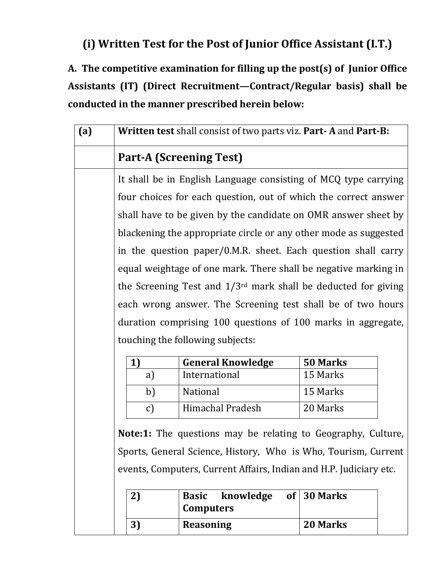## **(i) Written Test for the Post of Junior Office Assistant (I.T.)**

**A. The competitive examination for filling up the post(s) of Junior Office Assistants (IT) (Direct Recruitment—Contract/Regular basis) shall be conducted in the manner prescribed herein below:**

| (a)                                |                                                                                                                                                                                                                                                                                                                                                                                                                                                | Written test shall consist of two parts viz. Part-A and Part-B:    |                 |  |  |
|------------------------------------|------------------------------------------------------------------------------------------------------------------------------------------------------------------------------------------------------------------------------------------------------------------------------------------------------------------------------------------------------------------------------------------------------------------------------------------------|--------------------------------------------------------------------|-----------------|--|--|
|                                    | <b>Part-A (Screening Test)</b>                                                                                                                                                                                                                                                                                                                                                                                                                 |                                                                    |                 |  |  |
|                                    | It shall be in English Language consisting of MCQ type carrying                                                                                                                                                                                                                                                                                                                                                                                |                                                                    |                 |  |  |
|                                    | four choices for each question, out of which the correct answer                                                                                                                                                                                                                                                                                                                                                                                |                                                                    |                 |  |  |
|                                    | shall have to be given by the candidate on OMR answer sheet by                                                                                                                                                                                                                                                                                                                                                                                 |                                                                    |                 |  |  |
|                                    | blackening the appropriate circle or any other mode as suggested<br>in the question paper/0.M.R. sheet. Each question shall carry<br>equal weightage of one mark. There shall be negative marking in<br>the Screening Test and $1/3^{rd}$ mark shall be deducted for giving<br>each wrong answer. The Screening test shall be of two hours<br>duration comprising 100 questions of 100 marks in aggregate,<br>touching the following subjects: |                                                                    |                 |  |  |
|                                    |                                                                                                                                                                                                                                                                                                                                                                                                                                                |                                                                    |                 |  |  |
|                                    |                                                                                                                                                                                                                                                                                                                                                                                                                                                |                                                                    |                 |  |  |
|                                    |                                                                                                                                                                                                                                                                                                                                                                                                                                                |                                                                    |                 |  |  |
|                                    |                                                                                                                                                                                                                                                                                                                                                                                                                                                |                                                                    |                 |  |  |
|                                    |                                                                                                                                                                                                                                                                                                                                                                                                                                                |                                                                    |                 |  |  |
|                                    |                                                                                                                                                                                                                                                                                                                                                                                                                                                |                                                                    |                 |  |  |
|                                    | 1)                                                                                                                                                                                                                                                                                                                                                                                                                                             | <b>General Knowledge</b>                                           | 50 Marks        |  |  |
|                                    | a)                                                                                                                                                                                                                                                                                                                                                                                                                                             | International                                                      | 15 Marks        |  |  |
|                                    | b)                                                                                                                                                                                                                                                                                                                                                                                                                                             | National                                                           | 15 Marks        |  |  |
|                                    | c)                                                                                                                                                                                                                                                                                                                                                                                                                                             | Himachal Pradesh                                                   | 20 Marks        |  |  |
|                                    | <b>Note:1:</b> The questions may be relating to Geography, Culture,                                                                                                                                                                                                                                                                                                                                                                            |                                                                    |                 |  |  |
|                                    |                                                                                                                                                                                                                                                                                                                                                                                                                                                | Sports, General Science, History, Who is Who, Tourism, Current     |                 |  |  |
|                                    |                                                                                                                                                                                                                                                                                                                                                                                                                                                | events, Computers, Current Affairs, Indian and H.P. Judiciary etc. |                 |  |  |
|                                    | 2)                                                                                                                                                                                                                                                                                                                                                                                                                                             | knowledge<br><b>Basic</b><br><b>of</b><br><b>Computers</b>         | <b>30 Marks</b> |  |  |
| 3)<br><b>Reasoning</b><br>20 Marks |                                                                                                                                                                                                                                                                                                                                                                                                                                                |                                                                    |                 |  |  |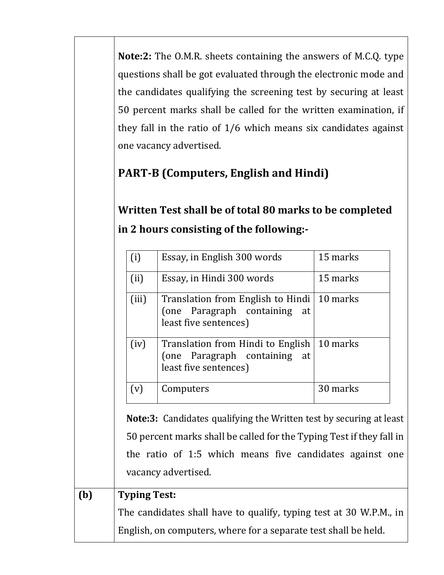**Note:2:** The O.M.R. sheets containing the answers of M.C.Q. type questions shall be got evaluated through the electronic mode and the candidates qualifying the screening test by securing at least 50 percent marks shall be called for the written examination, if they fall in the ratio of 1/6 which means six candidates against one vacancy advertised.

## **PART-B (Computers, English and Hindi)**

## **Written Test shall be of total 80 marks to be completed in 2 hours consisting of the following:-**

| (i)                                                             | Essay, in English 300 words                                                                                                                                                                                                           | 15 marks |
|-----------------------------------------------------------------|---------------------------------------------------------------------------------------------------------------------------------------------------------------------------------------------------------------------------------------|----------|
| (ii)                                                            | Essay, in Hindi 300 words                                                                                                                                                                                                             | 15 marks |
| (iii)                                                           | Translation from English to Hindi   10 marks<br>Paragraph containing<br>(one)<br>at<br>least five sentences)                                                                                                                          |          |
| (iv)                                                            | Translation from Hindi to English   10 marks<br>(one Paragraph containing<br>at<br>least five sentences)                                                                                                                              |          |
| (v)                                                             | Computers                                                                                                                                                                                                                             | 30 marks |
|                                                                 | <b>Note:3:</b> Candidates qualifying the Written test by securing at least<br>50 percent marks shall be called for the Typing Test if they fall in<br>the ratio of 1:5 which means five candidates against one<br>vacancy advertised. |          |
| <b>Typing Test:</b>                                             |                                                                                                                                                                                                                                       |          |
|                                                                 | The candidates shall have to qualify, typing test at 30 W.P.M., in                                                                                                                                                                    |          |
| English, on computers, where for a separate test shall be held. |                                                                                                                                                                                                                                       |          |

**(b) Typing Test:**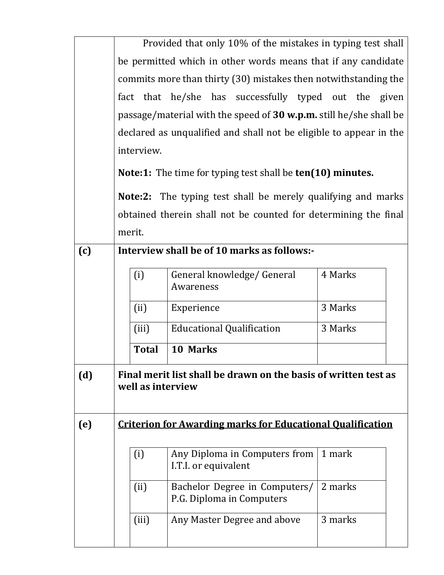|     | Provided that only 10% of the mistakes in typing test shall              |                                                                   |         |  |  |
|-----|--------------------------------------------------------------------------|-------------------------------------------------------------------|---------|--|--|
|     | be permitted which in other words means that if any candidate            |                                                                   |         |  |  |
|     | commits more than thirty (30) mistakes then notwithstanding the          |                                                                   |         |  |  |
|     |                                                                          | fact that he/she has successfully typed out the given             |         |  |  |
|     | passage/material with the speed of 30 w.p.m. still he/she shall be       |                                                                   |         |  |  |
|     | declared as unqualified and shall not be eligible to appear in the       |                                                                   |         |  |  |
|     | interview.                                                               |                                                                   |         |  |  |
|     | <b>Note:1:</b> The time for typing test shall be <b>ten(10) minutes.</b> |                                                                   |         |  |  |
|     | <b>Note:2:</b> The typing test shall be merely qualifying and marks      |                                                                   |         |  |  |
|     | obtained therein shall not be counted for determining the final          |                                                                   |         |  |  |
|     | merit.                                                                   |                                                                   |         |  |  |
| (c) | Interview shall be of 10 marks as follows:-                              |                                                                   |         |  |  |
|     | (i)                                                                      | General knowledge/ General<br>Awareness                           | 4 Marks |  |  |
|     | (ii)                                                                     | Experience                                                        | 3 Marks |  |  |
|     | (iii)                                                                    | <b>Educational Qualification</b>                                  | 3 Marks |  |  |
|     | <b>Total</b>                                                             | 10 Marks                                                          |         |  |  |
| (d) |                                                                          | Final merit list shall be drawn on the basis of written test as   |         |  |  |
|     | well as interview                                                        |                                                                   |         |  |  |
| (e) |                                                                          | <b>Criterion for Awarding marks for Educational Qualification</b> |         |  |  |
|     |                                                                          |                                                                   |         |  |  |
|     | (i)                                                                      | Any Diploma in Computers from<br>I.T.I. or equivalent             | 1 mark  |  |  |
|     | (ii)                                                                     | Bachelor Degree in Computers/<br>P.G. Diploma in Computers        | 2 marks |  |  |
|     | (iii)                                                                    | Any Master Degree and above                                       | 3 marks |  |  |